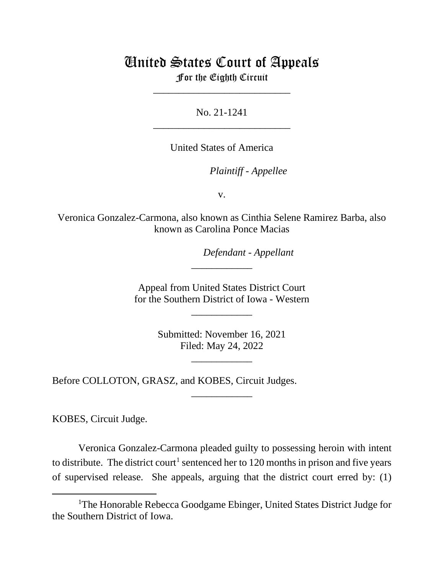# United States Court of Appeals

For the Eighth Circuit \_\_\_\_\_\_\_\_\_\_\_\_\_\_\_\_\_\_\_\_\_\_\_\_\_\_\_

No. 21-1241 \_\_\_\_\_\_\_\_\_\_\_\_\_\_\_\_\_\_\_\_\_\_\_\_\_\_\_

United States of America

*Plaintiff - Appellee*

v.

Veronica Gonzalez-Carmona, also known as Cinthia Selene Ramirez Barba, also known as Carolina Ponce Macias

*Defendant - Appellant*

Appeal from United States District Court for the Southern District of Iowa - Western

\_\_\_\_\_\_\_\_\_\_\_\_

\_\_\_\_\_\_\_\_\_\_\_\_

Submitted: November 16, 2021 Filed: May 24, 2022

\_\_\_\_\_\_\_\_\_\_\_\_

\_\_\_\_\_\_\_\_\_\_\_\_

Before COLLOTON, GRASZ, and KOBES, Circuit Judges.

KOBES, Circuit Judge.

Veronica Gonzalez-Carmona pleaded guilty to possessing heroin with intent to distribute. The district court<sup>1</sup> sentenced her to 120 months in prison and five years of supervised release. She appeals, arguing that the district court erred by: (1)

<span id="page-0-0"></span><sup>&</sup>lt;sup>1</sup>The Honorable Rebecca Goodgame Ebinger, United States District Judge for the Southern District of Iowa.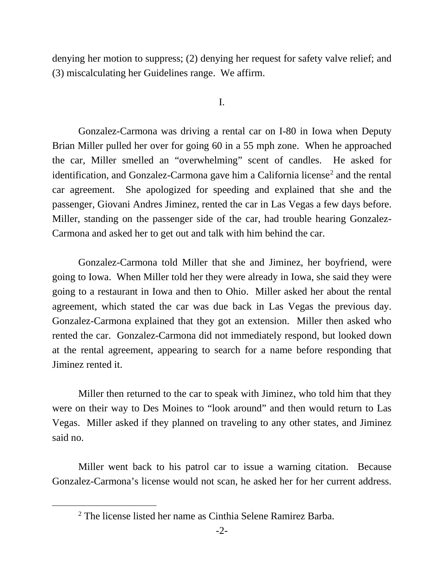denying her motion to suppress; (2) denying her request for safety valve relief; and (3) miscalculating her Guidelines range. We affirm.

I.

Gonzalez-Carmona was driving a rental car on I-80 in Iowa when Deputy Brian Miller pulled her over for going 60 in a 55 mph zone. When he approached the car, Miller smelled an "overwhelming" scent of candles. He asked for identification, and Gonzalez-Carmona gave him a California license<sup>[2](#page-1-0)</sup> and the rental car agreement. She apologized for speeding and explained that she and the passenger, Giovani Andres Jiminez, rented the car in Las Vegas a few days before. Miller, standing on the passenger side of the car, had trouble hearing Gonzalez-Carmona and asked her to get out and talk with him behind the car.

Gonzalez-Carmona told Miller that she and Jiminez, her boyfriend, were going to Iowa. When Miller told her they were already in Iowa, she said they were going to a restaurant in Iowa and then to Ohio. Miller asked her about the rental agreement, which stated the car was due back in Las Vegas the previous day. Gonzalez-Carmona explained that they got an extension. Miller then asked who rented the car. Gonzalez-Carmona did not immediately respond, but looked down at the rental agreement, appearing to search for a name before responding that Jiminez rented it.

Miller then returned to the car to speak with Jiminez, who told him that they were on their way to Des Moines to "look around" and then would return to Las Vegas. Miller asked if they planned on traveling to any other states, and Jiminez said no.

<span id="page-1-0"></span>Miller went back to his patrol car to issue a warning citation. Because Gonzalez-Carmona's license would not scan, he asked her for her current address.

<sup>2</sup> The license listed her name as Cinthia Selene Ramirez Barba.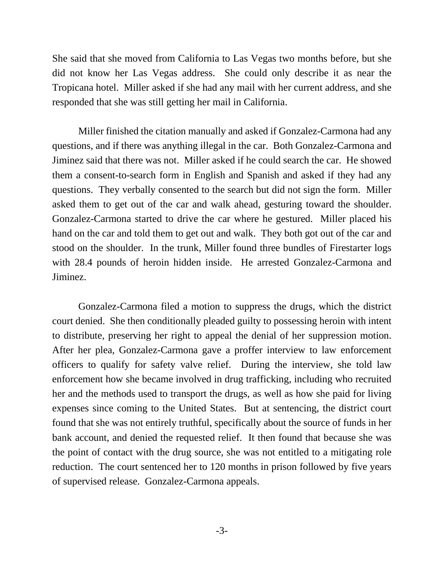She said that she moved from California to Las Vegas two months before, but she did not know her Las Vegas address. She could only describe it as near the Tropicana hotel. Miller asked if she had any mail with her current address, and she responded that she was still getting her mail in California.

Miller finished the citation manually and asked if Gonzalez-Carmona had any questions, and if there was anything illegal in the car. Both Gonzalez-Carmona and Jiminez said that there was not. Miller asked if he could search the car. He showed them a consent-to-search form in English and Spanish and asked if they had any questions. They verbally consented to the search but did not sign the form. Miller asked them to get out of the car and walk ahead, gesturing toward the shoulder. Gonzalez-Carmona started to drive the car where he gestured. Miller placed his hand on the car and told them to get out and walk. They both got out of the car and stood on the shoulder. In the trunk, Miller found three bundles of Firestarter logs with 28.4 pounds of heroin hidden inside. He arrested Gonzalez-Carmona and Jiminez.

Gonzalez-Carmona filed a motion to suppress the drugs, which the district court denied. She then conditionally pleaded guilty to possessing heroin with intent to distribute, preserving her right to appeal the denial of her suppression motion. After her plea, Gonzalez-Carmona gave a proffer interview to law enforcement officers to qualify for safety valve relief. During the interview, she told law enforcement how she became involved in drug trafficking, including who recruited her and the methods used to transport the drugs, as well as how she paid for living expenses since coming to the United States. But at sentencing, the district court found that she was not entirely truthful, specifically about the source of funds in her bank account, and denied the requested relief. It then found that because she was the point of contact with the drug source, she was not entitled to a mitigating role reduction. The court sentenced her to 120 months in prison followed by five years of supervised release. Gonzalez-Carmona appeals.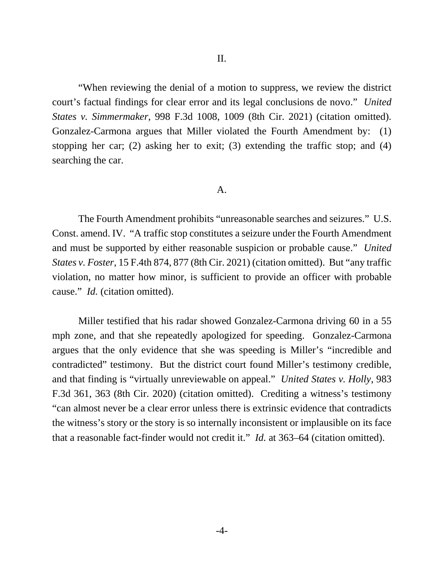"When reviewing the denial of a motion to suppress, we review the district court's factual findings for clear error and its legal conclusions de novo." *United States v. Simmermaker*, 998 F.3d 1008, 1009 (8th Cir. 2021) (citation omitted). Gonzalez-Carmona argues that Miller violated the Fourth Amendment by: (1) stopping her car; (2) asking her to exit; (3) extending the traffic stop; and (4) searching the car.

#### A.

The Fourth Amendment prohibits "unreasonable searches and seizures." U.S. Const. amend. IV. "A traffic stop constitutes a seizure under the Fourth Amendment and must be supported by either reasonable suspicion or probable cause." *United States v. Foster*, 15 F.4th 874, 877 (8th Cir. 2021) (citation omitted). But "any traffic violation, no matter how minor, is sufficient to provide an officer with probable cause." *Id.* (citation omitted).

 Miller testified that his radar showed Gonzalez-Carmona driving 60 in a 55 mph zone, and that she repeatedly apologized for speeding. Gonzalez-Carmona argues that the only evidence that she was speeding is Miller's "incredible and contradicted" testimony. But the district court found Miller's testimony credible, and that finding is "virtually unreviewable on appeal." *United States v. Holly*, 983 F.3d 361, 363 (8th Cir. 2020) (citation omitted). Crediting a witness's testimony "can almost never be a clear error unless there is extrinsic evidence that contradicts the witness's story or the story is so internally inconsistent or implausible on its face that a reasonable fact-finder would not credit it." *Id.* at 363–64 (citation omitted).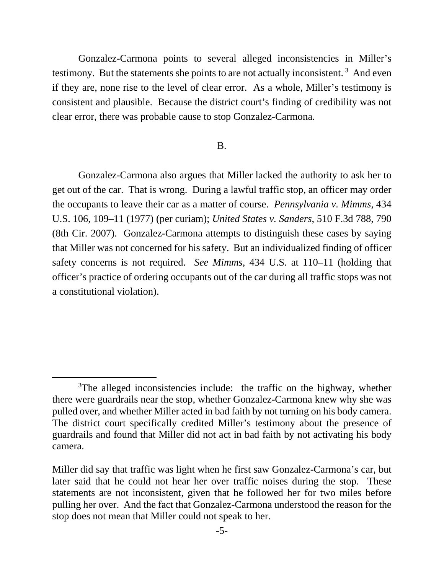Gonzalez-Carmona points to several alleged inconsistencies in Miller's testimony. But the statements she points to are not actually inconsistent.<sup>[3](#page-4-0)</sup> And even if they are, none rise to the level of clear error. As a whole, Miller's testimony is consistent and plausible. Because the district court's finding of credibility was not clear error, there was probable cause to stop Gonzalez-Carmona.

### B.

Gonzalez-Carmona also argues that Miller lacked the authority to ask her to get out of the car. That is wrong. During a lawful traffic stop, an officer may order the occupants to leave their car as a matter of course. *Pennsylvania v. Mimms*, 434 U.S. 106, 109–11 (1977) (per curiam); *United States v. Sanders*, 510 F.3d 788, 790 (8th Cir. 2007). Gonzalez-Carmona attempts to distinguish these cases by saying that Miller was not concerned for his safety. But an individualized finding of officer safety concerns is not required. *See Mimms*, 434 U.S. at 110–11 (holding that officer's practice of ordering occupants out of the car during all traffic stops was not a constitutional violation).

<span id="page-4-0"></span><sup>&</sup>lt;sup>3</sup>The alleged inconsistencies include: the traffic on the highway, whether there were guardrails near the stop, whether Gonzalez-Carmona knew why she was pulled over, and whether Miller acted in bad faith by not turning on his body camera. The district court specifically credited Miller's testimony about the presence of guardrails and found that Miller did not act in bad faith by not activating his body camera.

Miller did say that traffic was light when he first saw Gonzalez-Carmona's car, but later said that he could not hear her over traffic noises during the stop. These statements are not inconsistent, given that he followed her for two miles before pulling her over. And the fact that Gonzalez-Carmona understood the reason for the stop does not mean that Miller could not speak to her.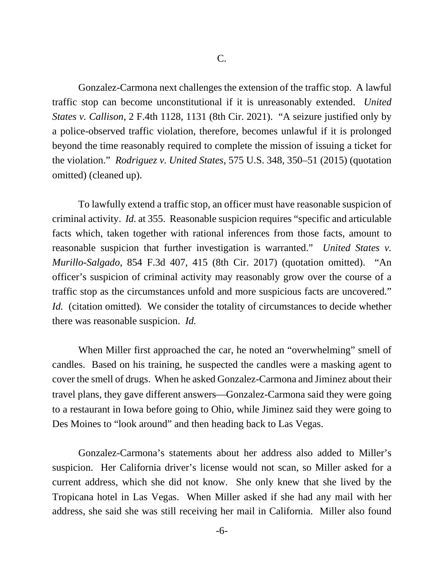Gonzalez-Carmona next challenges the extension of the traffic stop. A lawful traffic stop can become unconstitutional if it is unreasonably extended. *United States v. Callison*, 2 F.4th 1128, 1131 (8th Cir. 2021). "A seizure justified only by a police-observed traffic violation, therefore, becomes unlawful if it is prolonged beyond the time reasonably required to complete the mission of issuing a ticket for the violation." *Rodriguez v. United States*, 575 U.S. 348, 350–51 (2015) (quotation omitted) (cleaned up).

To lawfully extend a traffic stop, an officer must have reasonable suspicion of criminal activity. *Id.* at 355. Reasonable suspicion requires "specific and articulable facts which, taken together with rational inferences from those facts, amount to reasonable suspicion that further investigation is warranted." *United States v. Murillo-Salgado*, 854 F.3d 407, 415 (8th Cir. 2017) (quotation omitted). "An officer's suspicion of criminal activity may reasonably grow over the course of a traffic stop as the circumstances unfold and more suspicious facts are uncovered." *Id.* (citation omitted)*.* We consider the totality of circumstances to decide whether there was reasonable suspicion. *Id.*

When Miller first approached the car, he noted an "overwhelming" smell of candles. Based on his training, he suspected the candles were a masking agent to cover the smell of drugs. When he asked Gonzalez-Carmona and Jiminez about their travel plans, they gave different answers—Gonzalez-Carmona said they were going to a restaurant in Iowa before going to Ohio, while Jiminez said they were going to Des Moines to "look around" and then heading back to Las Vegas.

Gonzalez-Carmona's statements about her address also added to Miller's suspicion. Her California driver's license would not scan, so Miller asked for a current address, which she did not know. She only knew that she lived by the Tropicana hotel in Las Vegas. When Miller asked if she had any mail with her address, she said she was still receiving her mail in California. Miller also found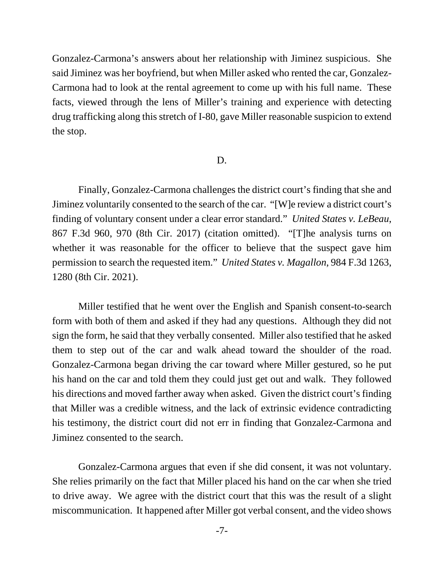Gonzalez-Carmona's answers about her relationship with Jiminez suspicious. She said Jiminez was her boyfriend, but when Miller asked who rented the car, Gonzalez-Carmona had to look at the rental agreement to come up with his full name. These facts, viewed through the lens of Miller's training and experience with detecting drug trafficking along this stretch of I-80, gave Miller reasonable suspicion to extend the stop.

### D.

Finally, Gonzalez-Carmona challenges the district court's finding that she and Jiminez voluntarily consented to the search of the car. "[W]e review a district court's finding of voluntary consent under a clear error standard." *United States v. LeBeau*, 867 F.3d 960, 970 (8th Cir. 2017) (citation omitted). "[T]he analysis turns on whether it was reasonable for the officer to believe that the suspect gave him permission to search the requested item." *United States v. Magallon*, 984 F.3d 1263, 1280 (8th Cir. 2021).

Miller testified that he went over the English and Spanish consent-to-search form with both of them and asked if they had any questions. Although they did not sign the form, he said that they verbally consented. Miller also testified that he asked them to step out of the car and walk ahead toward the shoulder of the road. Gonzalez-Carmona began driving the car toward where Miller gestured, so he put his hand on the car and told them they could just get out and walk. They followed his directions and moved farther away when asked. Given the district court's finding that Miller was a credible witness, and the lack of extrinsic evidence contradicting his testimony, the district court did not err in finding that Gonzalez-Carmona and Jiminez consented to the search.

Gonzalez-Carmona argues that even if she did consent, it was not voluntary. She relies primarily on the fact that Miller placed his hand on the car when she tried to drive away. We agree with the district court that this was the result of a slight miscommunication. It happened after Miller got verbal consent, and the video shows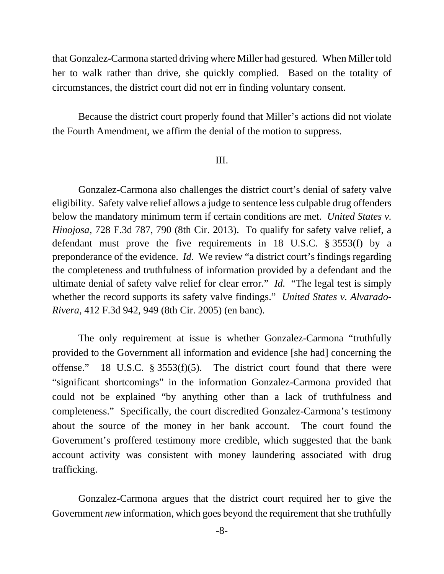that Gonzalez-Carmona started driving where Miller had gestured. When Miller told her to walk rather than drive, she quickly complied. Based on the totality of circumstances, the district court did not err in finding voluntary consent.

Because the district court properly found that Miller's actions did not violate the Fourth Amendment, we affirm the denial of the motion to suppress.

## III.

Gonzalez-Carmona also challenges the district court's denial of safety valve eligibility. Safety valve relief allows a judge to sentence less culpable drug offenders below the mandatory minimum term if certain conditions are met. *United States v. Hinojosa*, 728 F.3d 787, 790 (8th Cir. 2013). To qualify for safety valve relief, a defendant must prove the five requirements in 18 U.S.C. § 3553(f) by a preponderance of the evidence. *Id.* We review "a district court's findings regarding the completeness and truthfulness of information provided by a defendant and the ultimate denial of safety valve relief for clear error." *Id.* "The legal test is simply whether the record supports its safety valve findings." *United States v. Alvarado-Rivera*, 412 F.3d 942, 949 (8th Cir. 2005) (en banc).

The only requirement at issue is whether Gonzalez-Carmona "truthfully provided to the Government all information and evidence [she had] concerning the offense." 18 U.S.C. § 3553(f)(5). The district court found that there were "significant shortcomings" in the information Gonzalez-Carmona provided that could not be explained "by anything other than a lack of truthfulness and completeness." Specifically, the court discredited Gonzalez-Carmona's testimony about the source of the money in her bank account. The court found the Government's proffered testimony more credible, which suggested that the bank account activity was consistent with money laundering associated with drug trafficking.

Gonzalez-Carmona argues that the district court required her to give the Government *new* information, which goes beyond the requirement that she truthfully